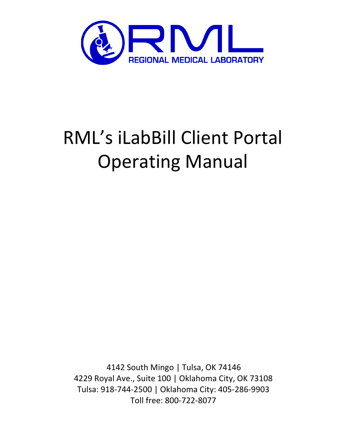

# RML's iLabBill Client Portal Operating Manual

4142 South Mingo | Tulsa, OK 74146 4229 Royal Ave., Suite 100 | Oklahoma City, OK 73108 Tulsa: 918-744-2500 | Oklahoma City: 405-286-9903 Toll free: 800-722-8077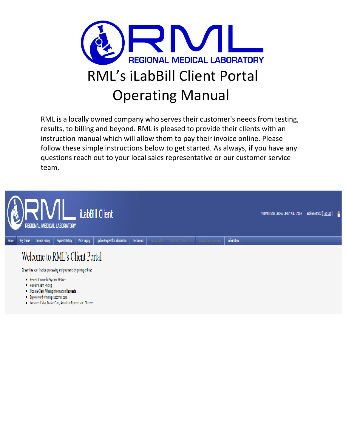

RML is a locally owned company who serves their customer's needs from testing, results, to billing and beyond. RML is pleased to provide their clients with an instruction manual which will allow them to pay their invoice online. Please follow these simple instructions below to get started. As always, if you have any questions reach out to your local sales representative or our customer service team.



- . Enjoy award-winning customer care
- . We accept Visa, MasterCard, American Express, and Discover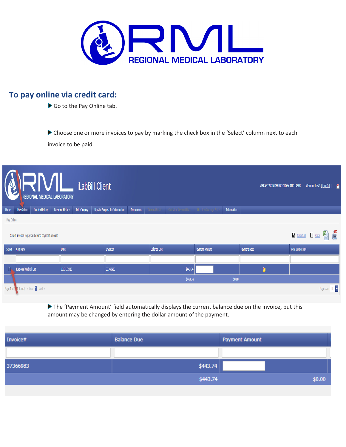

# **To pay online via credit card:**

Go to the Pay Online tab.

Choose one or more invoices to pay by marking the check box in the 'Select' column next to each invoice to be paid.

| RML<br>iLabBill Client<br>VIBRANT SKIN DERMATOLOGY AND LASER<br><b>REGIONAL MEDICAL LABORATORY</b> |                                                            |                                                   |                        |                      |                                       |                  |                    |                                | Welcome ttest3 [ <u>Log Out</u> ] @ |                    |              |   |                         |                                                                          |               |
|----------------------------------------------------------------------------------------------------|------------------------------------------------------------|---------------------------------------------------|------------------------|----------------------|---------------------------------------|------------------|--------------------|--------------------------------|-------------------------------------|--------------------|--------------|---|-------------------------|--------------------------------------------------------------------------|---------------|
| Home                                                                                               | Pay Online                                                 | <b>Invoice History</b>                            | <b>Payment History</b> | <b>Price Inquiry</b> | <b>Update Request for Information</b> | <b>Documents</b> | ensus Undate       | <b>Capitated Covered Lives</b> | <b>Hospice Coverage Enti</b>        | <b>Information</b> |              |   |                         |                                                                          |               |
| Pay Online                                                                                         |                                                            |                                                   |                        |                      |                                       |                  |                    |                                |                                     |                    |              |   |                         |                                                                          |               |
|                                                                                                    |                                                            | Select invoices to pay and define payment amount. |                        |                      |                                       |                  |                    |                                |                                     |                    |              |   |                         | $\frac{1}{2}$ Select All $\frac{1}{2}$ Clear $\frac{1}{2}$ $\frac{1}{2}$ |               |
| Select                                                                                             | Company                                                    |                                                   | Date                   |                      | Invoice#                              |                  | <b>Balance Due</b> |                                | <b>Payment Amount</b>               |                    | Payment Note |   | <b>View Invoice PDF</b> |                                                                          |               |
|                                                                                                    |                                                            |                                                   |                        |                      |                                       |                  |                    |                                |                                     |                    |              |   |                         |                                                                          |               |
|                                                                                                    | Regional Medical Lab                                       |                                                   | 12/31/2020             |                      | 37366983                              |                  |                    | \$443.74                       |                                     |                    |              | ħ |                         |                                                                          |               |
|                                                                                                    |                                                            |                                                   |                        |                      |                                       |                  |                    | \$443.74                       |                                     | \$0.00             |              |   |                         |                                                                          |               |
|                                                                                                    | Page 1 of $\frac{1}{4}$ items) < Prev $\frac{1}{4}$ Next > |                                                   |                        |                      |                                       |                  |                    |                                |                                     |                    |              |   |                         |                                                                          | Page size: 10 |

The 'Payment Amount' field automatically displays the current balance due on the invoice, but this amount may be changed by entering the dollar amount of the payment.

| Invoice# | <b>Balance Due</b> | <b>Payment Amount</b> |
|----------|--------------------|-----------------------|
|          |                    |                       |
| 37366983 | \$443.74           |                       |
|          | \$443.74           | \$0.00                |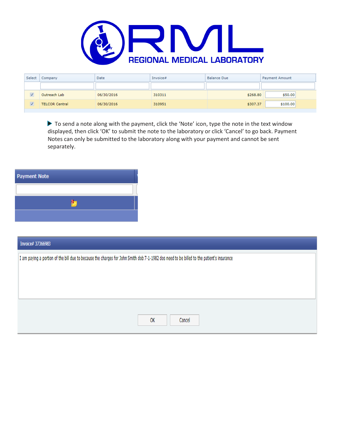

| Select               | Company               | Date       | Invoice# | <b>Balance Due</b> | <b>Payment Amount</b> |
|----------------------|-----------------------|------------|----------|--------------------|-----------------------|
|                      |                       |            |          |                    |                       |
| $\blacktriangledown$ | Outreach Lab          | 06/30/2016 | 310311   | \$268.80           | \$50.00               |
| $\blacktriangledown$ | <b>TELCOR Central</b> | 06/30/2016 | 310951   | \$307.37           | \$100.00              |

 $\blacktriangleright$  To send a note along with the payment, click the 'Note' icon, type the note in the text window displayed, then click 'OK' to submit the note to the laboratory or click 'Cancel' to go back. Payment Notes can only be submitted to the laboratory along with your payment and cannot be sent separately.



| Invoice# 37366983                                                                                                                         |  |  |  |  |  |  |  |
|-------------------------------------------------------------------------------------------------------------------------------------------|--|--|--|--|--|--|--|
| I am paying a portion of the bill due to because the charges for John Smith dob 7-1-1982 dos need to be billed to the patient's insurance |  |  |  |  |  |  |  |
|                                                                                                                                           |  |  |  |  |  |  |  |
|                                                                                                                                           |  |  |  |  |  |  |  |
|                                                                                                                                           |  |  |  |  |  |  |  |
|                                                                                                                                           |  |  |  |  |  |  |  |
| Cancel<br>OK                                                                                                                              |  |  |  |  |  |  |  |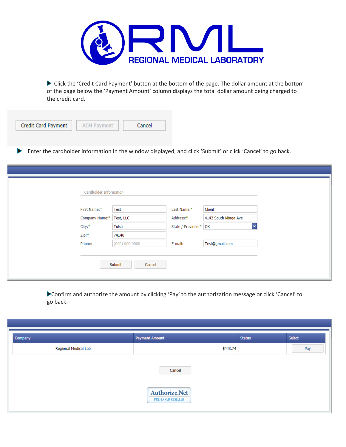

Click the 'Credit Card Payment' button at the bottom of the page. The dollar amount at the bottom of the page below the 'Payment Amount' column displays the total dollar amount being charged to the credit card.

| <b>ACH Payment</b> | Cancel |
|--------------------|--------|
|                    |        |

Enter the cardholder information in the window displayed, and click 'Submit' or click 'Cancel' to go back.

| Client<br>Test<br>Last Name:*<br>4142 South Mingo Ave<br>Address:*<br>Test, LLC<br>$\overline{\mathbf{v}}$<br>Tulsa<br>State / Province:* OK<br>74146<br>Test@gmail.com<br>$(000)$ 000-0000<br>E-mail: |                |
|--------------------------------------------------------------------------------------------------------------------------------------------------------------------------------------------------------|----------------|
|                                                                                                                                                                                                        | First Name:*   |
|                                                                                                                                                                                                        | Company Name:* |
|                                                                                                                                                                                                        | City:*         |
|                                                                                                                                                                                                        | Zip:*          |
|                                                                                                                                                                                                        | Phone:         |

Confirm and authorize the amount by clicking 'Pay' to the authorization message or click 'Cancel' to go back.

| Company              | <b>Payment Amount</b>                      | <b>Status</b> | Select |
|----------------------|--------------------------------------------|---------------|--------|
| Regional Medical Lab | \$443.74                                   |               | Pay    |
|                      | Cancel                                     |               |        |
|                      | Authorize.Net<br><b>PREFERRED RESELLER</b> |               |        |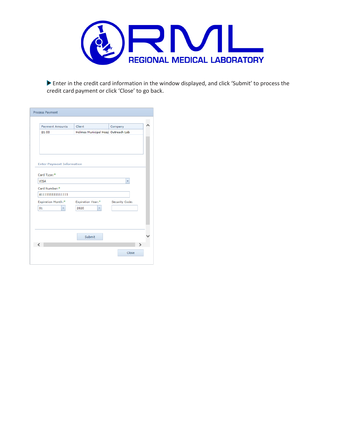

Enter in the credit card information in the window displayed, and click 'Submit' to process the credit card payment or click 'Close' to go back.

| Process Payment                  |                                    |                         |  |
|----------------------------------|------------------------------------|-------------------------|--|
|                                  |                                    |                         |  |
| <b>Payment Amounts</b>           | Client                             | Company                 |  |
| \$1.00                           | Holmes Municipal Hosp Outreach Lab |                         |  |
|                                  |                                    |                         |  |
|                                  |                                    |                         |  |
|                                  |                                    |                         |  |
|                                  |                                    |                         |  |
| <b>Enter Payment Information</b> |                                    |                         |  |
| Card Type:*                      |                                    |                         |  |
| <b>VISA</b>                      |                                    | $\overline{\mathbf{v}}$ |  |
| Card Number:*                    |                                    |                         |  |
| 4111111111111111                 |                                    |                         |  |
| <b>Expiration Month:*</b>        | <b>Expiration Year:*</b>           | Security Code:          |  |
| 01<br>۳                          | 2020<br>۰                          |                         |  |
|                                  |                                    |                         |  |
|                                  |                                    |                         |  |
|                                  |                                    |                         |  |
|                                  | Submit                             |                         |  |
|                                  |                                    |                         |  |
|                                  |                                    | Close                   |  |
|                                  |                                    |                         |  |
|                                  |                                    |                         |  |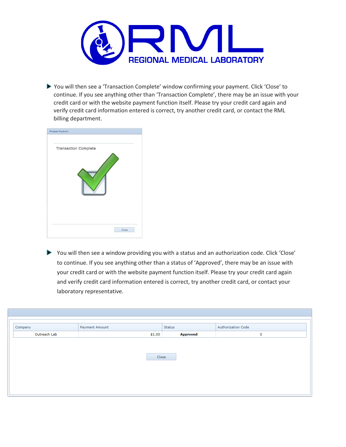

 You will then see a 'Transaction Complete' window confirming your payment. Click 'Close' to continue. If you see anything other than 'Transaction Complete', there may be an issue with your credit card or with the website payment function itself. Please try your credit card again and verify credit card information entered is correct, try another credit card, or contact the RML billing department.

| <b>Transaction Complete</b> |  |
|-----------------------------|--|
|                             |  |
|                             |  |
|                             |  |
|                             |  |

You will then see a window providing you with a status and an authorization code. Click 'Close' to continue. If you see anything other than a status of 'Approved', there may be an issue with your credit card or with the website payment function itself. Please try your credit card again and verify credit card information entered is correct, try another credit card, or contact your laboratory representative.

| Company      | Payment Amount | <b>Status</b>   | <b>Authorization Code</b> |  |  |  |
|--------------|----------------|-----------------|---------------------------|--|--|--|
| Outreach Lab | \$1.00         | <b>Approved</b> | 0                         |  |  |  |
|              |                |                 |                           |  |  |  |
|              |                |                 |                           |  |  |  |
|              | Close          |                 |                           |  |  |  |
|              |                |                 |                           |  |  |  |
|              |                | $\sim$          |                           |  |  |  |
|              |                | $\sim$          |                           |  |  |  |
|              |                |                 |                           |  |  |  |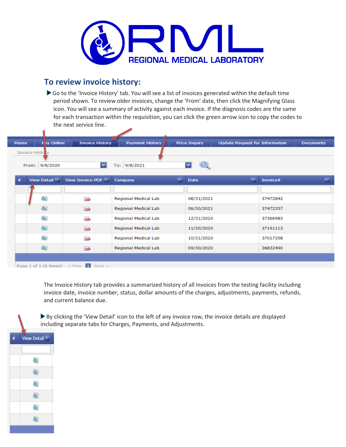

#### **To review invoice history:**

Go to the 'Invoice History' tab. You will see a list of invoices generated within the default time period shown. To review older invoices, change the 'From' date, then click the Magnifying Glass icon. You will see a summary of activity against each invoice. If the diagnosis codes are the same for each transaction within the requisition, you can click the green arrow icon to copy the codes to the next service line.

| Home | Fay Online                                   | <b>Invoice History</b> | Payment History      | <b>Price Inquiry</b> | <b>Update Request for Information</b> | <b>Documents</b> |
|------|----------------------------------------------|------------------------|----------------------|----------------------|---------------------------------------|------------------|
|      | <b>Invoice Histo</b> ry<br>9/8/2020<br>From: | ▿                      | To: 9/8/2021         | ≂                    |                                       |                  |
| #    | View Detail                                  | View Invoice PDF       | Company              | ≂<br><b>Date</b>     | ≂<br>Invoice#                         | R.               |
|      |                                              |                        |                      |                      |                                       |                  |
|      | Q)                                           | <b>POP</b>             | Regional Medical Lab | 08/31/2021           | 37472842                              |                  |
|      | 여                                            | <b>BOB</b>             | Regional Medical Lab | 06/30/2021           | 37472357                              |                  |
|      | Q)                                           | 203                    | Regional Medical Lab | 12/31/2020           | 37366983                              |                  |
|      | <b>Q</b>                                     | <b>BOB</b>             | Regional Medical Lab | 11/30/2020           | 37191113                              |                  |
|      | 실                                            | PDF                    | Regional Medical Lab | 10/31/2020           | 37017358                              |                  |
|      | 청                                            | <b>BOB</b>             | Regional Medical Lab | 09/30/2020           | 36832490                              |                  |
|      |                                              |                        |                      |                      |                                       |                  |

Page 1 of 1 (6 items)  $\leq$  Prev 1 Next

n

The Invoice History tab provides a summarized history of all invoices from the testing facility including invoice date, invoice number, status, dollar amounts of the charges, adjustments, payments, refunds, and current balance due.

By clicking the 'View Detail' icon to the left of any invoice row, the invoice details are displayed including separate tabs for Charges, Payments, and Adjustments.

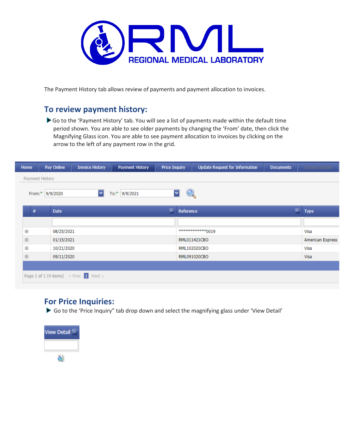

The Payment History tab allows review of payments and payment allocation to invoices.

## **To review payment history:**

Go to the 'Payment History' tab. You will see a list of payments made within the default time period shown. You are able to see older payments by changing the 'From' date, then click the Magnifying Glass icon. You are able to see payment allocation to invoices by clicking on the arrow to the left of any payment row in the grid.

| Home                                                     | Pay Online      | <b>Invoice History</b>                        | <b>Payment History</b> | <b>Price Inquiry</b> |              | <b>Update Request for Information</b> | <b>Documents</b> | Census Update |  |
|----------------------------------------------------------|-----------------|-----------------------------------------------|------------------------|----------------------|--------------|---------------------------------------|------------------|---------------|--|
|                                                          | Payment History |                                               |                        |                      |              |                                       |                  |               |  |
|                                                          |                 |                                               |                        |                      |              |                                       |                  |               |  |
| ▿<br>$\checkmark$<br>To:* 9/9/2021<br>From:*<br>9/9/2020 |                 |                                               |                        |                      |              |                                       |                  |               |  |
|                                                          |                 |                                               |                        |                      |              |                                       |                  |               |  |
| #                                                        | <b>Date</b>     |                                               |                        | ≂                    | Reference    |                                       | v                | <b>Type</b>   |  |
|                                                          |                 |                                               |                        |                      |              |                                       |                  |               |  |
| $\boxplus$                                               | 08/25/2021      |                                               |                        |                      |              | *************0019                     |                  | Visa          |  |
| $\boxplus$                                               | 01/15/2021      |                                               |                        |                      | RML011421CBO | American Express                      |                  |               |  |
| $\boxplus$                                               | 10/21/2020      |                                               |                        |                      |              | RML102020CBO                          |                  | Visa          |  |
| $\boxplus$                                               | 09/11/2020      |                                               |                        |                      |              | RML091020CBO                          |                  | Visa          |  |
|                                                          |                 |                                               |                        |                      |              |                                       |                  |               |  |
|                                                          |                 | Page 1 of 1 (4 items) $\langle$ Prev 1 Next > |                        |                      |              |                                       |                  |               |  |
|                                                          |                 |                                               |                        |                      |              |                                       |                  |               |  |

## **For Price Inquiries:**

Go to the 'Price Inquiry" tab drop down and select the magnifying glass under 'View Detail'